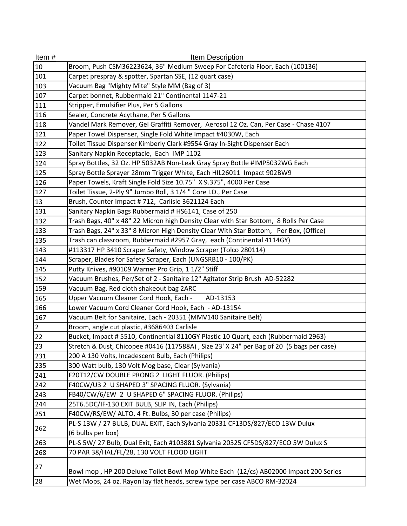| Item $#$       | Item Description                                                                         |
|----------------|------------------------------------------------------------------------------------------|
| 10             | Broom, Push CSM36223624, 36" Medium Sweep For Cafeteria Floor, Each (100136)             |
| 101            | Carpet prespray & spotter, Spartan SSE, (12 quart case)                                  |
| 103            | Vacuum Bag "Mighty Mite" Style MM (Bag of 3)                                             |
| 107            | Carpet bonnet, Rubbermaid 21" Continental 1147-21                                        |
| 111            | Stripper, Emulsifier Plus, Per 5 Gallons                                                 |
| 116            | Sealer, Concrete Acythane, Per 5 Gallons                                                 |
| 118            | Vandel Mark Remover, Gel Graffiti Remover, Aerosol 12 Oz. Can, Per Case - Chase 4107     |
| 121            | Paper Towel Dispenser, Single Fold White Impact #4030W, Each                             |
| 122            | Toilet Tissue Dispenser Kimberly Clark #9554 Gray In-Sight Dispenser Each                |
| 123            | Sanitary Napkin Receptacle, Each IMP 1102                                                |
| 124            | Spray Bottles, 32 Oz. HP 5032AB Non-Leak Gray Spray Bottle #IMP5032WG Each               |
| 125            | Spray Bottle Sprayer 28mm Trigger White, Each HIL26011 Impact 902BW9                     |
| 126            | Paper Towels, Kraft Single Fold Size 10.75" X 9.375", 4000 Per Case                      |
| 127            | Toilet Tissue, 2-Ply 9" Jumbo Roll, 3 1/4 " Core I.D., Per Case                          |
| 13             | Brush, Counter Impact #712, Carlisle 3621124 Each                                        |
| 131            | Sanitary Napkin Bags Rubbermaid # HS6141, Case of 250                                    |
| 132            | Trash Bags, 40" x 48" 22 Micron high Density Clear with Star Bottom, 8 Rolls Per Case    |
| 133            | Trash Bags, 24" x 33" 8 Micron High Density Clear With Star Bottom, Per Box, (Office)    |
| 135            | Trash can classroom, Rubbermaid #2957 Gray, each (Continental 4114GY)                    |
| 143            | #113317 HP 3410 Scraper Safety, Window Scraper (Tolco 280114)                            |
| 144            | Scraper, Blades for Safety Scraper, Each (UNGSRB10 - 100/PK)                             |
| 145            | Putty Knives, #90109 Warner Pro Grip, 1 1/2" Stiff                                       |
| 152            | Vacuum Brushes, Per/Set of 2 - Sanitaire 12" Agitator Strip Brush AD-52282               |
| 159            | Vacuum Bag, Red cloth shakeout bag 2ARC                                                  |
| 165            | Upper Vacuum Cleaner Cord Hook, Each -<br>AD-13153                                       |
| 166            | Lower Vacuum Cord Cleaner Cord Hook, Each - AD-13154                                     |
| 167            | Vacuum Belt for Sanitaire, Each - 20351 (MMV140 Sanitaire Belt)                          |
| $\overline{2}$ | Broom, angle cut plastic, #3686403 Carlisle                                              |
| 22             | Bucket, Impact #5510, Continential 8110GY Plastic 10 Quart, each (Rubbermaid 2963)       |
| 23             | Stretch & Dust, Chicopee #0416 (117588A), Size 23' X 24" per Bag of 20 (5 bags per case) |
| 231            | 200 A 130 Volts, Incadescent Bulb, Each (Philips)                                        |
| 235            | 300 Watt bulb, 130 Volt Mog base, Clear (Sylvania)                                       |
| 241            | F20T12/CW DOUBLE PRONG 2 LIGHT FLUOR. (Philips)                                          |
| 242            | F40CW/U3 2 U SHAPED 3" SPACING FLUOR. (Sylvania)                                         |
| 243            | FB40/CW/6/EW 2 U SHAPED 6" SPACING FLUOR. (Philips)                                      |
| 244            | 25T6.5DC/IF-130 EXIT BULB, SLIP IN, Each (Philips)                                       |
| 251            | F40CW/RS/EW/ ALTO, 4 Ft. Bulbs, 30 per case (Philips)                                    |
| 262            | PL-S 13W / 27 BULB, DUAL EXIT, Each Sylvania 20331 CF13DS/827/ECO 13W Dulux              |
|                | (6 bulbs per box)                                                                        |
| 263            | PL-S 5W/ 27 Bulb, Dual Exit, Each #103881 Sylvania 20325 CF5DS/827/ECO 5W Dulux S        |
| 268            | 70 PAR 38/HAL/FL/28, 130 VOLT FLOOD LIGHT                                                |
| 27             | Bowl mop, HP 200 Deluxe Toilet Bowl Mop White Each (12/cs) AB02000 Impact 200 Series     |
| 28             | Wet Mops, 24 oz. Rayon lay flat heads, screw type per case ABCO RM-32024                 |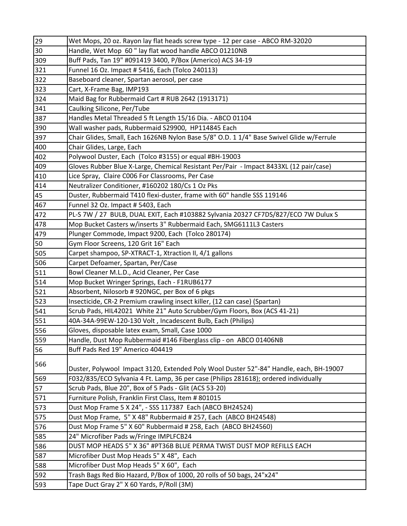| 29  | Wet Mops, 20 oz. Rayon lay flat heads screw type - 12 per case - ABCO RM-32020           |
|-----|------------------------------------------------------------------------------------------|
| 30  | Handle, Wet Mop 60" lay flat wood handle ABCO 01210NB                                    |
| 309 | Buff Pads, Tan 19" #091419 3400, P/Box (Americo) ACS 34-19                               |
| 321 | Funnel 16 Oz. Impact # 5416, Each (Tolco 240113)                                         |
| 322 | Baseboard cleaner, Spartan aerosol, per case                                             |
| 323 | Cart, X-Frame Bag, IMP193                                                                |
| 324 | Maid Bag for Rubbermaid Cart # RUB 2642 (1913171)                                        |
| 341 | Caulking Silicone, Per/Tube                                                              |
| 387 | Handles Metal Threaded 5 ft Length 15/16 Dia. - ABCO 01104                               |
| 390 | Wall washer pads, Rubbermaid S29900, HP114845 Each                                       |
| 397 | Chair Glides, Small, Each 1626NB Nylon Base 5/8" O.D. 1 1/4" Base Swivel Glide w/Ferrule |
| 400 | Chair Glides, Large, Each                                                                |
| 402 | Polywool Duster, Each (Tolco #3155) or equal #BH-19003                                   |
| 409 | Gloves Rubber Blue X-Large, Chemical Resistant Per/Pair - Impact 8433XL (12 pair/case)   |
| 410 | Lice Spray, Claire C006 For Classrooms, Per Case                                         |
| 414 | Neutralizer Conditioner, #160202 180/Cs 1 Oz Pks                                         |
| 45  | Duster, Rubbermaid T410 flexi-duster, frame with 60" handle SSS 119146                   |
| 467 | Funnel 32 Oz. Impact # 5403, Each                                                        |
| 472 | PL-S 7W / 27 BULB, DUAL EXIT, Each #103882 Sylvania 20327 CF7DS/827/ECO 7W Dulux S       |
| 478 | Mop Bucket Casters w/inserts 3" Rubbermaid Each, SMG6111L3 Casters                       |
| 479 | Plunger Commode, Impact 9200, Each (Tolco 280174)                                        |
| 50  | Gym Floor Screens, 120 Grit 16" Each                                                     |
| 505 | Carpet shampoo, SP-XTRACT-1, Xtraction II, 4/1 gallons                                   |
| 506 | Carpet Defoamer, Spartan, Per/Case                                                       |
| 511 | Bowl Cleaner M.L.D., Acid Cleaner, Per Case                                              |
| 514 | Mop Bucket Wringer Springs, Each - F1RUB6177                                             |
| 521 | Absorbent, Nilosorb # 920NGC, per Box of 6 pkgs                                          |
| 523 | Insecticide, CR-2 Premium crawling insect killer, (12 can case) (Spartan)                |
| 541 | Scrub Pads, HIL42021 White 21" Auto Scrubber/Gym Floors, Box (ACS 41-21)                 |
| 551 | 40A-34A-99EW-120-130 Volt, Incadescent Bulb, Each (Philips)                              |
| 556 | Gloves, disposable latex exam, Small, Case 1000                                          |
| 559 | Handle, Dust Mop Rubbermaid #146 Fiberglass clip - on ABCO 01406NB                       |
| 56  | Buff Pads Red 19" Americo 404419                                                         |
| 566 |                                                                                          |
|     | Duster, Polywool Impact 3120, Extended Poly Wool Duster 52"-84" Handle, each, BH-19007   |
| 569 | F032/835/ECO Sylvania 4 Ft. Lamp, 36 per case (Philips 281618); ordered individually     |
| 57  | Scrub Pads, Blue 20", Box of 5 Pads - Glit (ACS 53-20)                                   |
| 571 | Furniture Polish, Franklin First Class, Item # 801015                                    |
| 573 | Dust Mop Frame 5 X 24", - SSS 117387 Each (ABCO BH24524)                                 |
| 575 | Dust Mop Frame, 5" X 48" Rubbermaid # 257, Each (ABCO BH24548)                           |
| 576 | Dust Mop Frame 5" X 60" Rubbermaid # 258, Each (ABCO BH24560)                            |
| 585 | 24" Microfiber Pads w/Fringe IMPLFCB24                                                   |
| 586 | DUST MOP HEADS 5" X 36" #PT36B BLUE PERMA TWIST DUST MOP REFILLS EACH                    |
| 587 | Microfiber Dust Mop Heads 5" X 48", Each                                                 |
| 588 | Microfiber Dust Mop Heads 5" X 60", Each                                                 |
| 592 | Trash Bags Red Bio Hazard, P/Box of 1000, 20 rolls of 50 bags, 24"x24"                   |
| 593 | Tape Duct Gray 2" X 60 Yards, P/Roll (3M)                                                |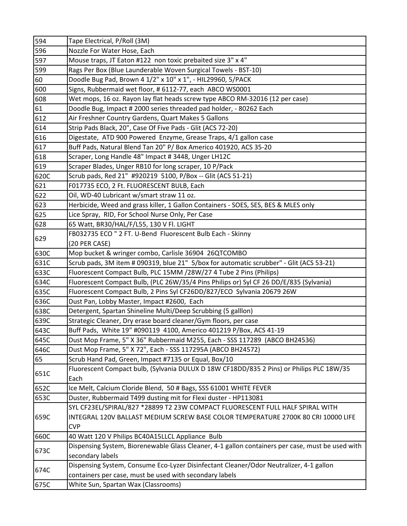| 594  | Tape Electrical, P/Roll (3M)                                                                     |
|------|--------------------------------------------------------------------------------------------------|
| 596  | Nozzle For Water Hose, Each                                                                      |
| 597  | Mouse traps, JT Eaton #122 non toxic prebaited size 3" x 4"                                      |
| 599  | Rags Per Box (Blue Launderable Woven Surgical Towels - BST-10)                                   |
| 60   | Doodle Bug Pad, Brown 4 1/2" x 10" x 1", - HIL29960, 5/PACK                                      |
| 600  | Signs, Rubbermaid wet floor, # 6112-77, each ABCO WS0001                                         |
| 608  | Wet mops, 16 oz. Rayon lay flat heads screw type ABCO RM-32016 (12 per case)                     |
| 61   | Doodle Bug, Impact # 2000 series threaded pad holder, - 80262 Each                               |
| 612  | Air Freshner Country Gardens, Quart Makes 5 Gallons                                              |
| 614  | Strip Pads Black, 20", Case Of Five Pads - Glit (ACS 72-20)                                      |
| 616  | Digestate, ATD 900 Powered Enzyme, Grease Traps, 4/1 gallon case                                 |
| 617  | Buff Pads, Natural Blend Tan 20" P/ Box Americo 401920, ACS 35-20                                |
| 618  | Scraper, Long Handle 48" Impact # 3448, Unger LH12C                                              |
| 619  | Scraper Blades, Unger RB10 for long scraper, 10 P/Pack                                           |
| 620C | Scrub pads, Red 21" #920219 5100, P/Box -- Glit (ACS 51-21)                                      |
| 621  | F017735 ECO, 2 Ft. FLUORESCENT BULB, Each                                                        |
| 622  | Oil, WD-40 Lubricant w/smart straw 11 oz.                                                        |
| 623  | Herbicide, Weed and grass killer, 1 Gallon Containers - SOES, SES, BES & MLES only               |
| 625  | Lice Spray, RID, For School Nurse Only, Per Case                                                 |
| 628  | 65 Watt, BR30/HAL/F/L55, 130 V Fl. LIGHT                                                         |
| 629  | FB032735 ECO " 2 FT. U-Bend Fluorescent Bulb Each - Skinny                                       |
|      | (20 PER CASE)                                                                                    |
| 630C | Mop bucket & wringer combo, Carlisle 36904 26QTCOMBO                                             |
| 631C | Scrub pads, 3M item # 090319, blue 21" 5/box for automatic scrubber" - Glit (ACS 53-21)          |
| 633C | Fluorescent Compact Bulb, PLC 15MM /28W/27 4 Tube 2 Pins (Philips)                               |
| 634C | Fluorescent Compact Bulb, (PLC 26W/35/4 Pins Philips or) Syl CF 26 DD/E/835 (Sylvania)           |
| 635C | Fluorescent Compact Bulb, 2 Pins Syl CF26DD/827/ECO Sylvania 20679 26W                           |
| 636C | Dust Pan, Lobby Master, Impact #2600, Each                                                       |
| 638C | Detergent, Spartan Shineline Multi/Deep Scrubbing (5 galllon)                                    |
| 639C | Strategic Cleaner, Dry erase board cleaner/Gym floors, per case                                  |
| 643C | Buff Pads, White 19" #090119 4100, Americo 401219 P/Box, ACS 41-19                               |
| 645C | Dust Mop Frame, 5" X 36" Rubbermaid M255, Each - SSS 117289 (ABCO BH24536)                       |
| 646C | Dust Mop Frame, 5" X 72", Each - SSS 117295A (ABCO BH24572)                                      |
| 65   | Scrub Hand Pad, Green, Impact #7135 or Equal, Box/10                                             |
| 651C | Fluorescent Compact bulb, (Sylvania DULUX D 18W CF18DD/835 2 Pins) or Philips PLC 18W/35<br>Each |
| 652C | Ice Melt, Calcium Cloride Blend, 50 # Bags, SSS 61001 WHITE FEVER                                |
| 653C | Duster, Rubbermaid T499 dusting mit for Flexi duster - HP113081                                  |
|      | SYL CF23EL/SPIRAL/827 *28899 T2 23W COMPACT FLUORESCENT FULL HALF SPIRAL WITH                    |
| 659C | INTEGRAL 120V BALLAST MEDIUM SCREW BASE COLOR TEMPERATURE 2700K 80 CRI 10000 LIFE                |
|      | <b>CVP</b>                                                                                       |
| 660C | 40 Watt 120 V Philips BC40A15LLCL Appliance Bulb                                                 |
| 673C | Dispensing System, Biorenewable Glass Cleaner, 4-1 gallon containers per case, must be used with |
|      | secondary labels                                                                                 |
| 674C | Dispensing System, Consume Eco-Lyzer Disinfectant Cleaner/Odor Neutralizer, 4-1 gallon           |
|      | containers per case, must be used with secondary labels                                          |
| 675C | White Sun, Spartan Wax (Classrooms)                                                              |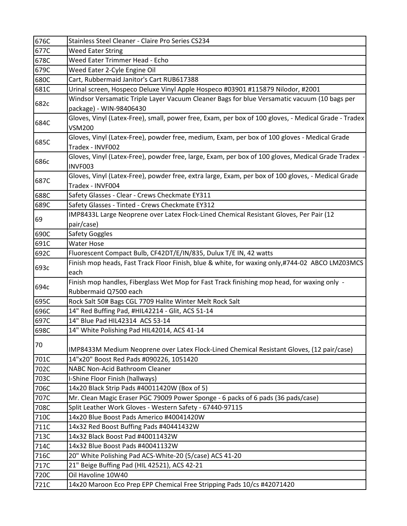| 676C | Stainless Steel Cleaner - Claire Pro Series CS234                                                                      |
|------|------------------------------------------------------------------------------------------------------------------------|
| 677C | <b>Weed Eater String</b>                                                                                               |
| 678C | Weed Eater Trimmer Head - Echo                                                                                         |
| 679C | Weed Eater 2-Cyle Engine Oil                                                                                           |
| 680C | Cart, Rubbermaid Janitor's Cart RUB617388                                                                              |
| 681C | Urinal screen, Hospeco Deluxe Vinyl Apple Hospeco #03901 #115879 Nilodor, #2001                                        |
| 682c | Windsor Versamatic Triple Layer Vacuum Cleaner Bags for blue Versamatic vacuum (10 bags per                            |
|      | package) - WIN-98406430                                                                                                |
| 684C | Gloves, Vinyl (Latex-Free), small, power free, Exam, per box of 100 gloves, - Medical Grade - Tradex<br><b>VSM200</b>  |
| 685C | Gloves, Vinyl (Latex-Free), powder free, medium, Exam, per box of 100 gloves - Medical Grade<br>Tradex - INVF002       |
| 686c | Gloves, Vinyl (Latex-Free), powder free, large, Exam, per box of 100 gloves, Medical Grade Tradex -<br>INVF003         |
| 687C | Gloves, Vinyl (Latex-Free), powder free, extra large, Exam, per box of 100 gloves, - Medical Grade<br>Tradex - INVF004 |
| 688C | Safety Glasses - Clear - Crews Checkmate EY311                                                                         |
| 689C | Safety Glasses - Tinted - Crews Checkmate EY312                                                                        |
| 69   | IMP8433L Large Neoprene over Latex Flock-Lined Chemical Resistant Gloves, Per Pair (12                                 |
|      | pair/case)                                                                                                             |
| 690C | Safety Goggles                                                                                                         |
| 691C | <b>Water Hose</b>                                                                                                      |
| 692C | Fluorescent Compact Bulb, CF42DT/E/IN/835, Dulux T/E IN, 42 watts                                                      |
| 693c | Finish mop heads, Fast Track Floor Finish, blue & white, for waxing only,#744-02 ABCO LMZ03MCS                         |
|      | each                                                                                                                   |
| 694c | Finish mop handles, Fiberglass Wet Mop for Fast Track finishing mop head, for waxing only -                            |
|      | Rubbermaid Q7500 each                                                                                                  |
| 695C | Rock Salt 50# Bags CGL 7709 Halite Winter Melt Rock Salt                                                               |
| 696C | 14" Red Buffing Pad, #HIL42214 - Glit, ACS 51-14                                                                       |
| 697C | 14" Blue Pad HIL42314 ACS 53-14                                                                                        |
| 698C | 14" White Polishing Pad HIL42014, ACS 41-14                                                                            |
| 70   | IMP8433M Medium Neoprene over Latex Flock-Lined Chemical Resistant Gloves, (12 pair/case)                              |
| 701C | 14"x20" Boost Red Pads #090226, 1051420                                                                                |
| 702C | NABC Non-Acid Bathroom Cleaner                                                                                         |
| 703C | I-Shine Floor Finish (hallways)                                                                                        |
| 706C | 14x20 Black Strip Pads #40011420W (Box of 5)                                                                           |
| 707C | Mr. Clean Magic Eraser PGC 79009 Power Sponge - 6 packs of 6 pads (36 pads/case)                                       |
| 708C | Split Leather Work Gloves - Western Safety - 67440-97115                                                               |
| 710C | 14x20 Blue Boost Pads Americo #40041420W                                                                               |
| 711C | 14x32 Red Boost Buffing Pads #40441432W                                                                                |
| 713C | 14x32 Black Boost Pad #40011432W                                                                                       |
| 714C | 14x32 Blue Boost Pads #40041132W                                                                                       |
| 716C | 20" White Polishing Pad ACS-White-20 (5/case) ACS 41-20                                                                |
| 717C | 21" Beige Buffing Pad (HIL 42521), ACS 42-21                                                                           |
| 720C | Oil Havoline 10W40                                                                                                     |
| 721C | 14x20 Maroon Eco Prep EPP Chemical Free Stripping Pads 10/cs #42071420                                                 |